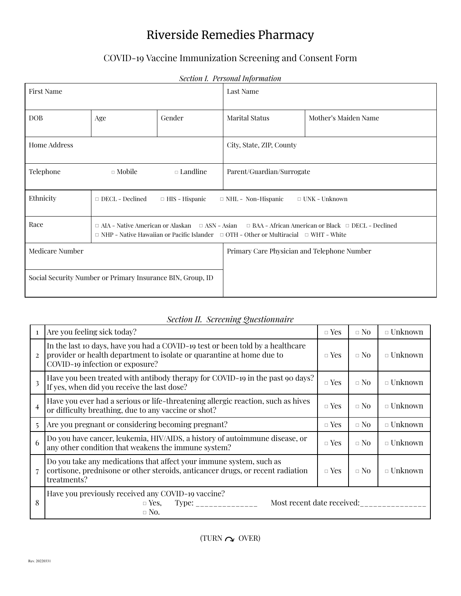# Riverside Remedies Pharmacy

## COVID-19 Vaccine Immunization Screening and Consent Form

| Section 1. Personal information                                                                               |               |                    |                                                                                                                          |                      |  |
|---------------------------------------------------------------------------------------------------------------|---------------|--------------------|--------------------------------------------------------------------------------------------------------------------------|----------------------|--|
| <b>First Name</b>                                                                                             |               |                    | Last Name                                                                                                                |                      |  |
| <b>DOB</b>                                                                                                    | Age           | Gender             | <b>Marital Status</b>                                                                                                    | Mother's Maiden Name |  |
| Home Address                                                                                                  |               |                    | City, State, ZIP, County                                                                                                 |                      |  |
| Telephone                                                                                                     | $\Box$ Mobile | $\square$ Landline | Parent/Guardian/Surrogate                                                                                                |                      |  |
| Ethnicity<br>$\Box$ DECL - Declined<br>$\Box$ HIS - Hispanic<br>$\Box$ NHL - Non-Hispanic                     |               |                    |                                                                                                                          | $\Box$ UNK – Unknown |  |
| Race<br>$\Box$ NHP - Native Hawaiian or Pacific Islander $\Box$ OTH - Other or Multiracial $\Box$ WHT - White |               |                    | $\Box$ AIA - Native American or Alaskan $\Box$ ASN - Asian $\Box$ BAA - African American or Black $\Box$ DECL - Declined |                      |  |
| <b>Medicare Number</b>                                                                                        |               |                    | Primary Care Physician and Telephone Number                                                                              |                      |  |
| Social Security Number or Primary Insurance BIN, Group, ID                                                    |               |                    |                                                                                                                          |                      |  |

## *Section I. Personal Information*

| $\mathbf{1}$   | Are you feeling sick today?                                                                                                                                                                | $\Box$ Yes | $\Box$ No | $\Box$ Unknown    |
|----------------|--------------------------------------------------------------------------------------------------------------------------------------------------------------------------------------------|------------|-----------|-------------------|
| $\overline{2}$ | In the last 10 days, have you had a COVID-19 test or been told by a healthcare<br>provider or health department to isolate or quarantine at home due to<br>COVID-19 infection or exposure? | $\Box$ Yes | $\Box$ No | $\Box$ Unknown    |
| 3              | Have you been treated with antibody therapy for COVID-19 in the past 90 days?<br>If yes, when did you receive the last dose?                                                               | $\Box$ Yes | $\Box$ No | $\Box$ Unknown    |
| 4              | Have you ever had a serious or life-threatening allergic reaction, such as hives<br>or difficulty breathing, due to any vaccine or shot?                                                   | $\Box$ Yes | $\Box$ No | $\Box$ Unknown    |
| $\overline{5}$ | Are you pregnant or considering becoming pregnant?                                                                                                                                         | $\Box$ Yes | $\Box$ No | $\Box$ Unknown    |
| 6              | Do you have cancer, leukemia, HIV/AIDS, a history of autoimmune disease, or<br>any other condition that weakens the immune system?                                                         |            | $\Box$ No | $\Box$ Unknown    |
|                | Do you take any medications that affect your immune system, such as<br>cortisone, prednisone or other steroids, anticancer drugs, or recent radiation<br>treatments?                       |            | $\Box$ No | $\square$ Unknown |
| 8              | Have you previously received any COVID-19 vaccine?<br>Most recent date received:<br>Type:<br>$\Box$ Yes,<br>$\Box$ No.                                                                     |            |           |                   |